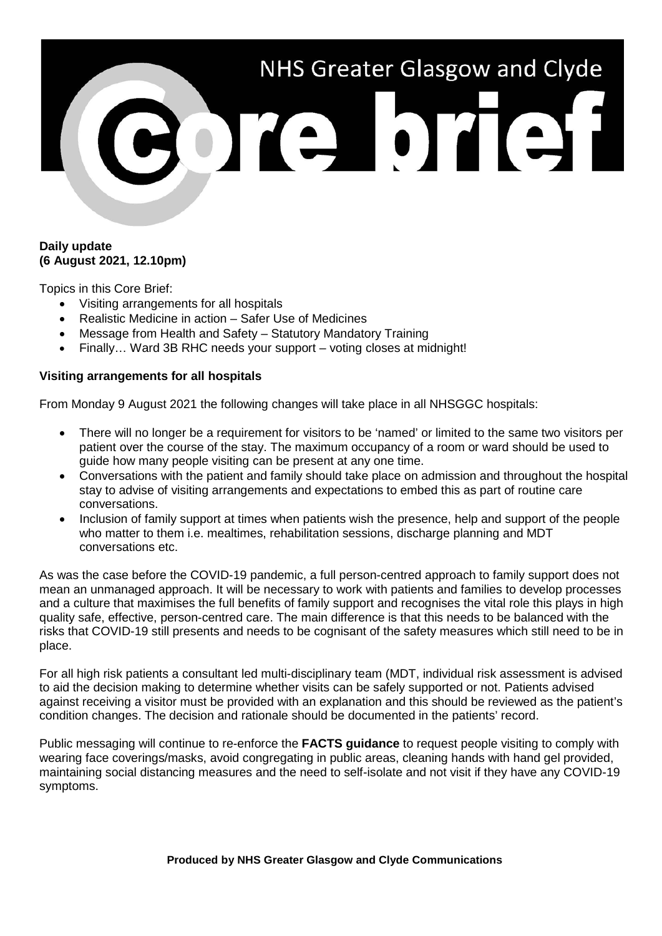# NHS Greater Glasgow and Clyde COICHOICH

# **Daily update (6 August 2021, 12.10pm)**

Topics in this Core Brief:

- Visiting arrangements for all hospitals
- Realistic Medicine in action Safer Use of Medicines
- Message from Health and Safety Statutory Mandatory Training
- Finally... Ward 3B RHC needs your support voting closes at midnight!

# **Visiting arrangements for all hospitals**

From Monday 9 August 2021 the following changes will take place in all NHSGGC hospitals:

- There will no longer be a requirement for visitors to be 'named' or limited to the same two visitors per patient over the course of the stay. The maximum occupancy of a room or ward should be used to guide how many people visiting can be present at any one time.
- Conversations with the patient and family should take place on admission and throughout the hospital stay to advise of visiting arrangements and expectations to embed this as part of routine care conversations.
- Inclusion of family support at times when patients wish the presence, help and support of the people who matter to them i.e. mealtimes, rehabilitation sessions, discharge planning and MDT conversations etc.

As was the case before the COVID-19 pandemic, a full person-centred approach to family support does not mean an unmanaged approach. It will be necessary to work with patients and families to develop processes and a culture that maximises the full benefits of family support and recognises the vital role this plays in high quality safe, effective, person-centred care. The main difference is that this needs to be balanced with the risks that COVID-19 still presents and needs to be cognisant of the safety measures which still need to be in place.

For all high risk patients a consultant led multi-disciplinary team (MDT, individual risk assessment is advised to aid the decision making to determine whether visits can be safely supported or not. Patients advised against receiving a visitor must be provided with an explanation and this should be reviewed as the patient's condition changes. The decision and rationale should be documented in the patients' record.

Public messaging will continue to re-enforce the **FACTS guidance** to request people visiting to comply with wearing face coverings/masks, avoid congregating in public areas, cleaning hands with hand gel provided, maintaining social distancing measures and the need to self-isolate and not visit if they have any COVID-19 symptoms.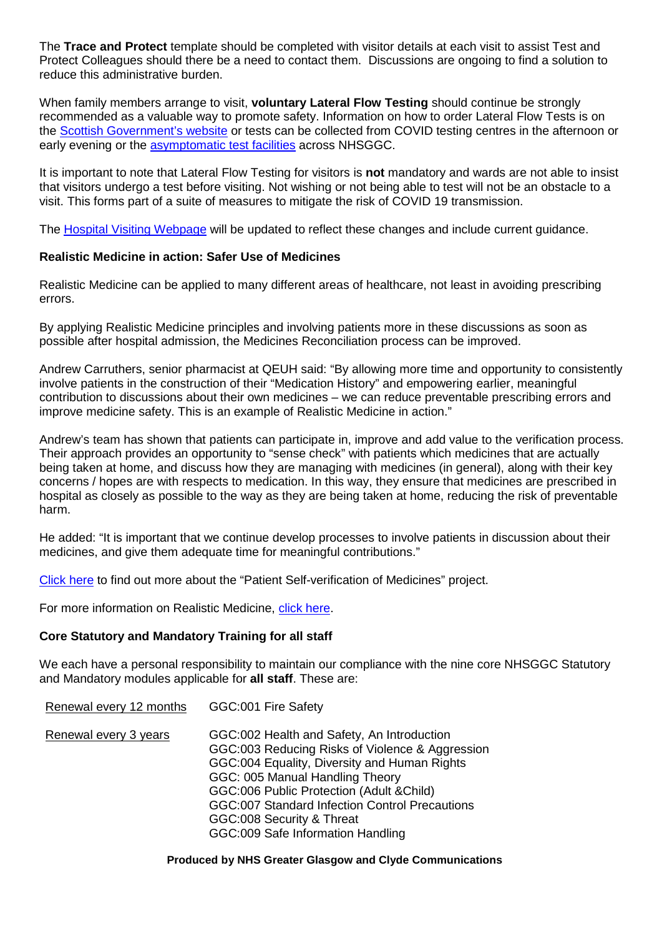The **Trace and Protect** template should be completed with visitor details at each visit to assist Test and Protect Colleagues should there be a need to contact them. Discussions are ongoing to find a solution to reduce this administrative burden.

When family members arrange to visit, **voluntary Lateral Flow Testing** should continue be strongly recommended as a valuable way to promote safety. Information on how to order Lateral Flow Tests is on the [Scottish Government's website](https://www.gov.scot/publications/coronavirus-covid-19-getting-tested/pages/no-covid-symptoms/) or tests can be collected from COVID testing centres in the afternoon or early evening or the [asymptomatic test facilities](https://www.nhsggc.org.uk/your-health/health-issues/covid-19-coronavirus/for-patients-the-public/asymptomatic-test-facilities/) across NHSGGC.

It is important to note that Lateral Flow Testing for visitors is **not** mandatory and wards are not able to insist that visitors undergo a test before visiting. Not wishing or not being able to test will not be an obstacle to a visit. This forms part of a suite of measures to mitigate the risk of COVID 19 transmission.

The [Hospital Visiting Webpage](https://www.nhsggc.org.uk/your-health/health-issues/covid-19-coronavirus/for-patients-the-public/patients-hospital-appointments-visiting/hospital-visiting/) will be updated to reflect these changes and include current guidance.

### **Realistic Medicine in action: Safer Use of Medicines**

Realistic Medicine can be applied to many different areas of healthcare, not least in avoiding prescribing errors.

By applying Realistic Medicine principles and involving patients more in these discussions as soon as possible after hospital admission, the Medicines Reconciliation process can be improved.

Andrew Carruthers, senior pharmacist at QEUH said: "By allowing more time and opportunity to consistently involve patients in the construction of their "Medication History" and empowering earlier, meaningful contribution to discussions about their own medicines – we can reduce preventable prescribing errors and improve medicine safety. This is an example of Realistic Medicine in action."

Andrew's team has shown that patients can participate in, improve and add value to the verification process. Their approach provides an opportunity to "sense check" with patients which medicines that are actually being taken at home, and discuss how they are managing with medicines (in general), along with their key concerns / hopes are with respects to medication. In this way, they ensure that medicines are prescribed in hospital as closely as possible to the way as they are being taken at home, reducing the risk of preventable harm.

He added: "It is important that we continue develop processes to involve patients in discussion about their medicines, and give them adequate time for meaningful contributions."

[Click here](https://www.nhsggc.org.uk/patients-and-visitors/realistic-medicine/info-resources-for-staff/realistic-medicine-in-action-safer-use-of-medicines-patient-self-verification-of-medication-history/) to find out more about the "Patient Self-verification of Medicines" project.

For more information on Realistic Medicine, [click here.](https://www.nhsggc.org.uk/patients-and-visitors/realistic-medicine/info-resources-for-staff/)

### **Core Statutory and Mandatory Training for all staff**

We each have a personal responsibility to maintain our compliance with the nine core NHSGGC Statutory and Mandatory modules applicable for **all staff**. These are:

Renewal every 12 months GGC:001 Fire Safety

Renewal every 3 years GGC:002 Health and Safety, An Introduction GGC:003 Reducing Risks of Violence & Aggression GGC:004 Equality, Diversity and Human Rights GGC: 005 Manual Handling Theory GGC:006 Public Protection (Adult &Child) GGC:007 Standard Infection Control Precautions GGC:008 Security & Threat GGC:009 Safe Information Handling

#### **Produced by NHS Greater Glasgow and Clyde Communications**